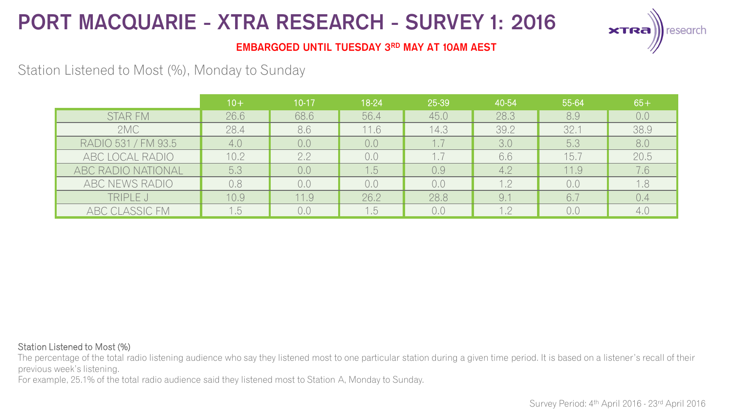

### **EMBARGOED UNTIL TUESDAY 3RD MAY AT 10AM AEST**

## Station Listened to Most (%), Monday to Sunday

|                     | $10+$ | $10-17$ | 18-24 | 25-39 | 40-54 | 55-64 | $65+$ |
|---------------------|-------|---------|-------|-------|-------|-------|-------|
| <b>STAR FM</b>      | 26.6  | 68.6    | 56.4  | 45.0  | 28.3  | 8.9   | 0.0   |
| 2MC                 | 28.4  | 8.6     | 11.6  | 14.3  | 39.2  | 32.1  | 38.9  |
| RADIO 531 / FM 93.5 | 4.0   | 0,0     | 0,0   |       | 3.0   | 5.3   | 8.0   |
| ABC LOCAL RADIO     | 10.2  | 2.2     | 0.0   |       | 6.6   | 15.7  | 20.5  |
| ABC RADIO NATIONAL  | 5,3   | 0.0     | 1.5   | 0.9   | 4.2   | 11.9  | 7.6   |
| ABC NEWS RADIO      | 0.8   | 0.0     | 0.0   | 0,0   | 1.2   | 0.0   | 1.8   |
| TRIPLE J            | 10.9  | 11.9    | 26.2  | 28.8  | 9.7   | 6.7   | 0.4   |
| ABC CLASSIC FM      | 5.    | 0.0     | .5    | 0,0   | 1.2   | 0.0   | 4.0   |

#### Station Listened to Most (%)

The percentage of the total radio listening audience who say they listened most to one particular station during a given time period. It is based on a listener's recall of their previous week's listening.

For example, 25.1% of the total radio audience said they listened most to Station A, Monday to Sunday.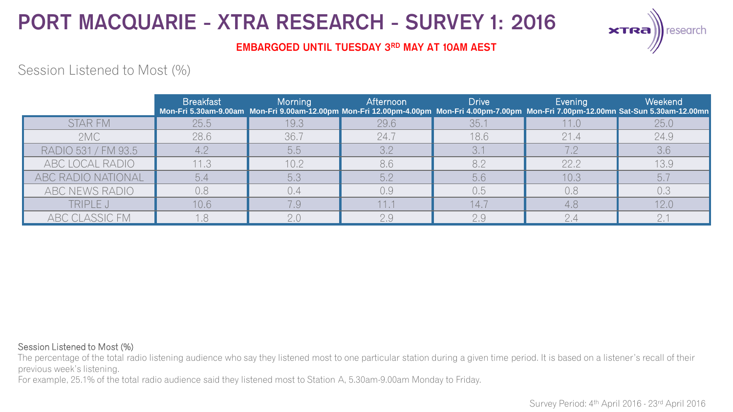

### **EMBARGOED UNTIL TUESDAY 3RD MAY AT 10AM AEST**

## Session Listened to Most (%)

|                     | <b>Breakfast</b> | <b>Morning</b> | <b>Afternoon</b> | <b>Drive</b> | Evening | Weekend<br>Mon-Fri 5.30am-9.00am Mon-Fri 9.00am-12.00pm Mon-Fri 12.00pm-4.00pm Mon-Fri 4.00pm-7.00pm Mon-Fri 7.00pm-12.00mn Sat-Sun 5.30am-12.00mn |
|---------------------|------------------|----------------|------------------|--------------|---------|----------------------------------------------------------------------------------------------------------------------------------------------------|
| <b>STAR FM</b>      | 25.5             | 19.3           | 29.6             | 35.1         | 11.0    | 25.0                                                                                                                                               |
| 2MC                 | 28.6             | 36.7           | 24.7             | 18.6         | 21.4    | 24.9                                                                                                                                               |
| RADIO 531 / FM 93.5 |                  | 5.5            | 3.2              |              |         | 3.6                                                                                                                                                |
| ABC LOCAL RADIO     | 11.3             | 10.2           | 8.6              | 8.2          | 22.2    | 13.9                                                                                                                                               |
| ABC RADIO NATIONAL  | 5.4              | 5.3            | 5.2              | 5,6          | 10.3    | 5.7                                                                                                                                                |
| ABC NEWS RADIO      | 0,8              | 0.4            | 0.9              | 0.5          | 0,8     | 0.3                                                                                                                                                |
| TRIPLE J            | 10.6             | 7.9            | 11.1             | 14.7         | 4,8     | 12.0                                                                                                                                               |
| ABC CLASSIC FM      |                  | 2.0            | 2.9              | 2.9          | 2.4     |                                                                                                                                                    |

#### Session Listened to Most (%)

The percentage of the total radio listening audience who say they listened most to one particular station during a given time period. It is based on a listener's recall of their previous week's listening.

For example, 25.1% of the total radio audience said they listened most to Station A, 5.30am-9.00am Monday to Friday.

Survey Period: 4<sup>th</sup> April 2016 - 23<sup>rd</sup> April 2016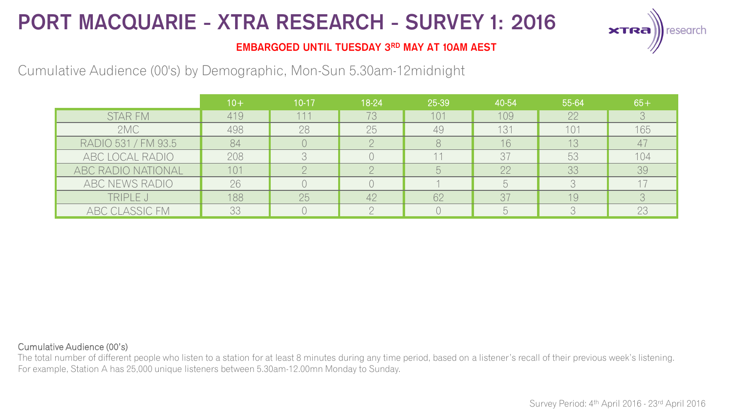

### **EMBARGOED UNTIL TUESDAY 3RD MAY AT 10AM AEST**

## Cumulative Audience (00's) by Demographic, Mon-Sun 5.30am-12midnight

|                     | $10 +$ | $10-17$ | 18-24 | 25-39 | 40-54      | 55-64 | $65+$ |
|---------------------|--------|---------|-------|-------|------------|-------|-------|
| <b>STAR FM</b>      | 419    | 111     | 73    | 101   | 109        | 22    |       |
| 2MC                 | 498    | 28      | 25    | 49    | 131        | 101   | 165   |
| RADIO 531 / FM 93.5 | 84     |         |       |       | 16         | 13    | 47    |
| ABC LOCAL RADIO     | 208    |         |       |       | 37         | 53    | 104   |
| ABC RADIO NATIONAL  | 101    |         |       |       | 22         | 33    | 39    |
| ABC NEWS RADIO      | 26     |         |       |       |            |       |       |
| TRIPLE J            | 188    | 25      | 42    | 62    | 37         | 19    |       |
| ABC CLASSIC FM      | 33     |         |       |       | $\sqrt{ }$ |       | 23    |

#### Cumulative Audience (00's)

The total number of different people who listen to a station for at least 8 minutes during any time period, based on a listener's recall of their previous week's listening. For example, Station A has 25,000 unique listeners between 5.30am-12.00mn Monday to Sunday.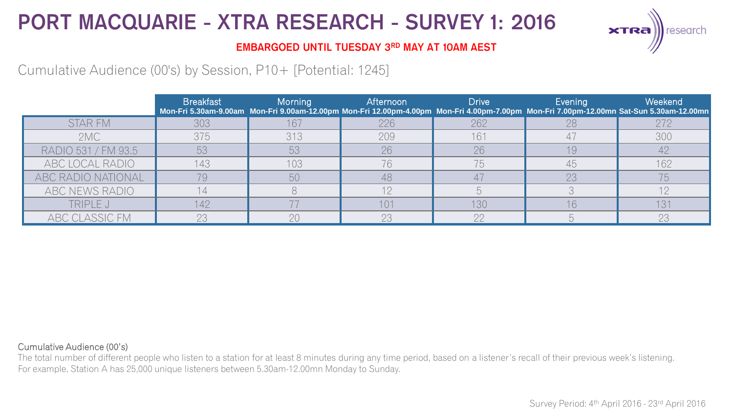

### **EMBARGOED UNTIL TUESDAY 3RD MAY AT 10AM AEST**

## Cumulative Audience (00's) by Session, P10+ [Potential: 1245]

|                     | <b>Breakfast</b> | Morning | <b>Afternoon</b> | <b>Drive</b> | Evening | Weekend<br>Mon-Fri 5.30am-9.00am Mon-Fri 9.00am-12.00pm Mon-Fri 12.00pm-4.00pm Mon-Fri 4.00pm-7.00pm Mon-Fri 7.00pm-12.00mn Sat-Sun 5.30am-12.00mn |
|---------------------|------------------|---------|------------------|--------------|---------|----------------------------------------------------------------------------------------------------------------------------------------------------|
| <b>STAR FM</b>      | 303              | 167     | 226              | 262          | 28      | 272                                                                                                                                                |
| 2MC                 | 375              | 313     | 209              | 161          |         | 300                                                                                                                                                |
| RADIO 531 / FM 93.5 | 53               | 53      | 26               | 26           | 19      |                                                                                                                                                    |
| ABC LOCAL RADIO     | 143              | 103     | 76               | 75           | 45      | 162                                                                                                                                                |
| ABC RADIO NATIONAL  |                  | 50      | 48               |              | 23      | 75                                                                                                                                                 |
| ABC NEWS RADIO      |                  |         |                  |              |         |                                                                                                                                                    |
| TRIPLE J            | 142              |         | 101              | 130          | 16      |                                                                                                                                                    |
| ABC CLASSIC FM      | 23               | 20      | 23               | n            |         | 23                                                                                                                                                 |

#### Cumulative Audience (00's)

The total number of different people who listen to a station for at least 8 minutes during any time period, based on a listener's recall of their previous week's listening. For example, Station A has 25,000 unique listeners between 5.30am-12.00mn Monday to Sunday.